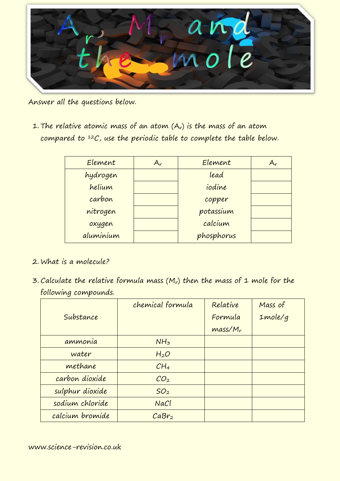

Answer all the questions below.

1. The relative atomic mass of an atom  $(A_r)$  is the mass of an atom compared to  $12C$ , use the periodic table to complete the table below.

| Element   | $A_r$ | Element    | $A_r$ |
|-----------|-------|------------|-------|
| hydrogen  |       | lead       |       |
| helium    |       | iodine     |       |
| carbon    |       | copper     |       |
| nitrogen  |       | potassium  |       |
| oxygen    |       | calcium    |       |
| aluminium |       | phosphorus |       |

- 2. What is a molecule?
- $3.$  Calculate the relative formula mass (M<sub>r</sub>) then the mass of 1 mole for the following compounds.

|                 | chemical formula  | Relative   | Mass of    |
|-----------------|-------------------|------------|------------|
| Substance       |                   | Formula    | $1$ mole/g |
|                 |                   | $mass/M_r$ |            |
| ammonia         | NH <sub>3</sub>   |            |            |
| water           | H <sub>2</sub> O  |            |            |
| methane         | CH <sub>4</sub>   |            |            |
| carbon dioxide  | CO <sub>2</sub>   |            |            |
| sulphur dioxide | SO <sub>2</sub>   |            |            |
| sodium chloride | NaCl              |            |            |
| calcium bromide | CaBr <sub>2</sub> |            |            |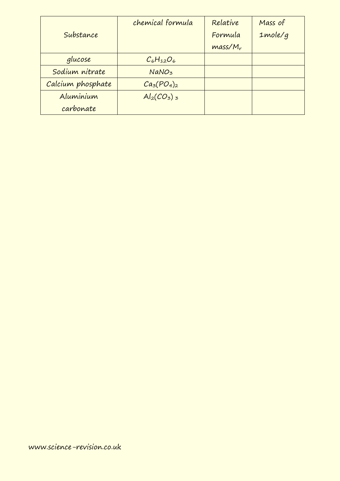|                   | chemical formula  | Relative   | Mass of    |
|-------------------|-------------------|------------|------------|
| Substance         |                   | Formula    | $1$ mole/g |
|                   |                   | $mass/M_r$ |            |
| glucose           | $C_6H_{12}O_6$    |            |            |
| Sodium nitrate    | NaNO <sub>3</sub> |            |            |
| Calcium phosphate | $Ca3(PO4)2$       |            |            |
| Aluminium         | $Al_2(CO_3)_{3}$  |            |            |
| carbonate         |                   |            |            |